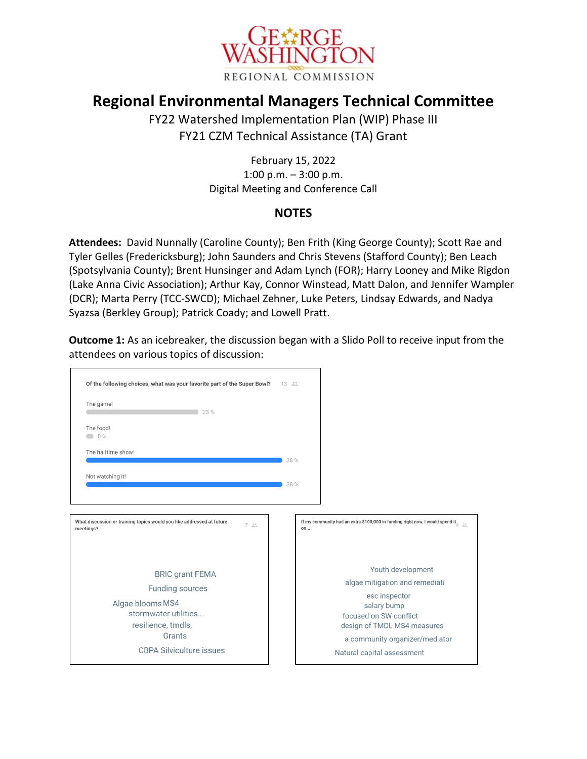

## **Regional Environmental Managers Technical Committee**

FY22 Watershed Implementation Plan (WIP) Phase III FY21 CZM Technical Assistance (TA) Grant

> February 15, 2022 1:00 p.m. – 3:00 p.m. Digital Meeting and Conference Call

## **NOTES**

**Attendees:** David Nunnally (Caroline County); Ben Frith (King George County); Scott Rae and Tyler Gelles (Fredericksburg); John Saunders and Chris Stevens (Stafford County); Ben Leach (Spotsylvania County); Brent Hunsinger and Adam Lynch (FOR); Harry Looney and Mike Rigdon (Lake Anna Civic Association); Arthur Kay, Connor Winstead, Matt Dalon, and Jennifer Wampler (DCR); Marta Perry (TCC-SWCD); Michael Zehner, Luke Peters, Lindsay Edwards, and Nadya Syazsa (Berkley Group); Patrick Coady; and Lowell Pratt.

**Outcome 1:** As an icebreaker, the discussion began with a Slido Poll to receive input from the attendees on various topics of discussion:

| Of the following choices, what was your favorite part of the Super Bowl?                                  | $13 - 25$ |                                                                                                    |
|-----------------------------------------------------------------------------------------------------------|-----------|----------------------------------------------------------------------------------------------------|
| The game!<br>23 %                                                                                         |           |                                                                                                    |
| The food!<br>0%                                                                                           |           |                                                                                                    |
| The halftime show!                                                                                        | 38 %      |                                                                                                    |
| Not watching it!                                                                                          | 38 %      |                                                                                                    |
|                                                                                                           |           |                                                                                                    |
| What discussion or training topics would you like addressed at future<br>$7 \nightharpoonup$<br>meetings? | on        | If my community had an extra \$100,000 in funding right now, I would spend it $_{\tiny{\text{S}}}$ |
| <b>BRIC grant FEMA</b><br><b>Funding sources</b>                                                          |           | Youth development<br>algae mitigation and remediati<br>esc inspector                               |
| Algae blooms MS4<br>stormwater utilities<br>resilience, tmdls,                                            |           | salary bump<br>focused on SW conflict<br>design of TMDL MS4 measures                               |
| Grants<br><b>CBPA Silviculture issues</b>                                                                 |           | a community organizer/mediator<br>Natural capital assessment                                       |